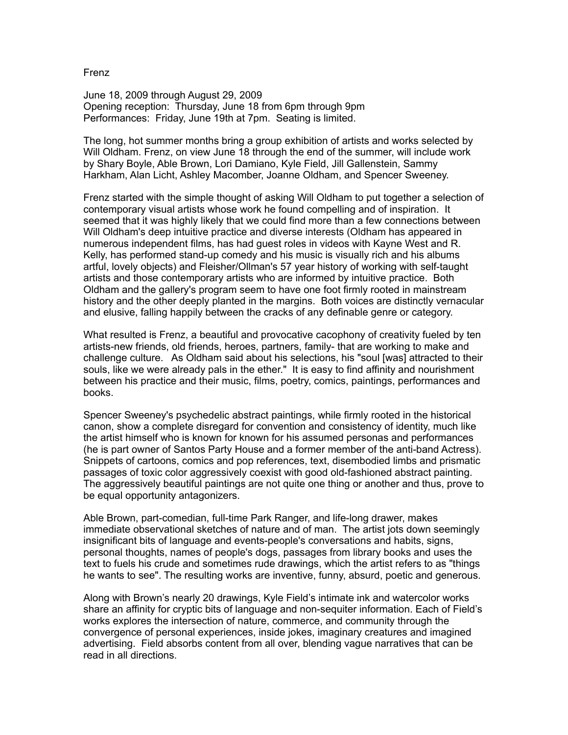Frenz

June 18, 2009 through August 29, 2009 Opening reception: Thursday, June 18 from 6pm through 9pm Performances: Friday, June 19th at 7pm. Seating is limited.

The long, hot summer months bring a group exhibition of artists and works selected by Will Oldham. Frenz, on view June 18 through the end of the summer, will include work by Shary Boyle, Able Brown, Lori Damiano, Kyle Field, Jill Gallenstein, Sammy Harkham, Alan Licht, Ashley Macomber, Joanne Oldham, and Spencer Sweeney.

Frenz started with the simple thought of asking Will Oldham to put together a selection of contemporary visual artists whose work he found compelling and of inspiration. It seemed that it was highly likely that we could find more than a few connections between Will Oldham's deep intuitive practice and diverse interests (Oldham has appeared in numerous independent films, has had guest roles in videos with Kayne West and R. Kelly, has performed stand-up comedy and his music is visually rich and his albums artful, lovely objects) and Fleisher/Ollman's 57 year history of working with self-taught artists and those contemporary artists who are informed by intuitive practice. Both Oldham and the gallery's program seem to have one foot firmly rooted in mainstream history and the other deeply planted in the margins. Both voices are distinctly vernacular and elusive, falling happily between the cracks of any definable genre or category.

What resulted is Frenz, a beautiful and provocative cacophony of creativity fueled by ten artists-new friends, old friends, heroes, partners, family- that are working to make and challenge culture. As Oldham said about his selections, his "soul [was] attracted to their souls, like we were already pals in the ether." It is easy to find affinity and nourishment between his practice and their music, films, poetry, comics, paintings, performances and books.

Spencer Sweeney's psychedelic abstract paintings, while firmly rooted in the historical canon, show a complete disregard for convention and consistency of identity, much like the artist himself who is known for known for his assumed personas and performances (he is part owner of Santos Party House and a former member of the anti-band Actress). Snippets of cartoons, comics and pop references, text, disembodied limbs and prismatic passages of toxic color aggressively coexist with good old-fashioned abstract painting. The aggressively beautiful paintings are not quite one thing or another and thus, prove to be equal opportunity antagonizers.

Able Brown, part-comedian, full-time Park Ranger, and life-long drawer, makes immediate observational sketches of nature and of man. The artist jots down seemingly insignificant bits of language and events-people's conversations and habits, signs, personal thoughts, names of people's dogs, passages from library books and uses the text to fuels his crude and sometimes rude drawings, which the artist refers to as "things he wants to see". The resulting works are inventive, funny, absurd, poetic and generous.

Along with Brown's nearly 20 drawings, Kyle Field's intimate ink and watercolor works share an affinity for cryptic bits of language and non-sequiter information. Each of Field's works explores the intersection of nature, commerce, and community through the convergence of personal experiences, inside jokes, imaginary creatures and imagined advertising. Field absorbs content from all over, blending vague narratives that can be read in all directions.